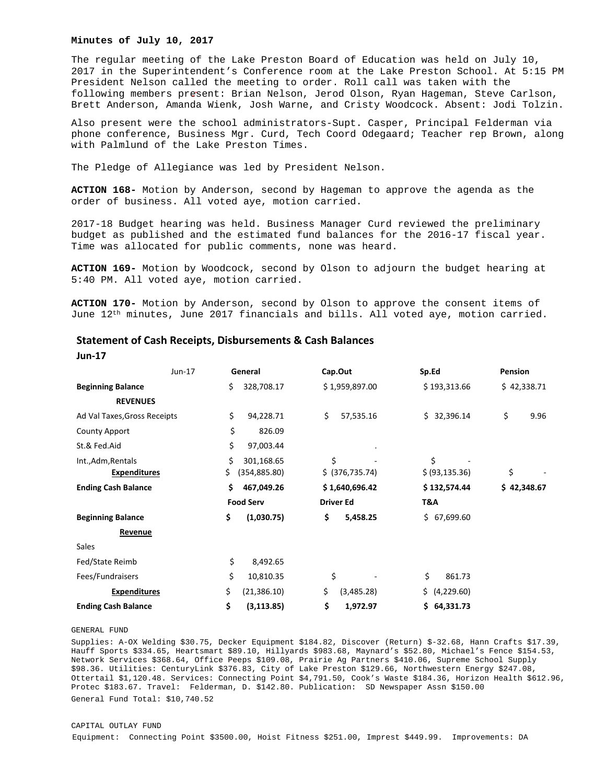### **Minutes of July 10, 2017**

The regular meeting of the Lake Preston Board of Education was held on July 10, 2017 in the Superintendent's Conference room at the Lake Preston School. At 5:15 PM President Nelson called the meeting to order. Roll call was taken with the following members present: Brian Nelson, Jerod Olson, Ryan Hageman, Steve Carlson, Brett Anderson, Amanda Wienk, Josh Warne, and Cristy Woodcock. Absent: Jodi Tolzin.

Also present were the school administrators-Supt. Casper, Principal Felderman via phone conference, Business Mgr. Curd, Tech Coord Odegaard; Teacher rep Brown, along with Palmlund of the Lake Preston Times.

The Pledge of Allegiance was led by President Nelson.

**ACTION 168-** Motion by Anderson, second by Hageman to approve the agenda as the order of business. All voted aye, motion carried.

2017-18 Budget hearing was held. Business Manager Curd reviewed the preliminary budget as published and the estimated fund balances for the 2016-17 fiscal year. Time was allocated for public comments, none was heard.

**ACTION 169-** Motion by Woodcock, second by Olson to adjourn the budget hearing at 5:40 PM. All voted aye, motion carried.

**ACTION 170-** Motion by Anderson, second by Olson to approve the consent items of June 12th minutes, June 2017 financials and bills. All voted aye, motion carried.

|                              | Jun-17 | General          | Cap.Out          | Sp.Ed             | Pension     |
|------------------------------|--------|------------------|------------------|-------------------|-------------|
| <b>Beginning Balance</b>     | \$     | 328,708.17       | \$1,959,897.00   | \$193,313.66      | \$42,338.71 |
| <b>REVENUES</b>              |        |                  |                  |                   |             |
| Ad Val Taxes, Gross Receipts | \$     | 94,228.71        | \$<br>57,535.16  | 32,396.14<br>Ś.   | \$<br>9.96  |
| <b>County Apport</b>         | \$     | 826.09           |                  |                   |             |
| St.& Fed.Aid                 | \$     | 97,003.44        |                  |                   |             |
| Int., Adm, Rentals           | \$     | 301,168.65       | \$               | \$                |             |
| <b>Expenditures</b>          | \$     | (354, 885.80)    | \$ (376, 735.74) | \$ (93, 135.36)   | \$          |
| <b>Ending Cash Balance</b>   | \$     | 467,049.26       | \$1,640,696.42   | \$132,574.44      | \$42,348.67 |
|                              |        | <b>Food Serv</b> | <b>Driver Ed</b> | T&A               |             |
| <b>Beginning Balance</b>     | \$     | (1,030.75)       | \$<br>5,458.25   | 67,699.60<br>Ś.   |             |
| Revenue                      |        |                  |                  |                   |             |
| Sales                        |        |                  |                  |                   |             |
| Fed/State Reimb              | \$     | 8,492.65         |                  |                   |             |
| Fees/Fundraisers             | \$     | 10,810.35        | \$               | \$<br>861.73      |             |
| <b>Expenditures</b>          | \$     | (21, 386.10)     | \$<br>(3,485.28) | \$.<br>(4,229.60) |             |
| <b>Ending Cash Balance</b>   | \$     | (3, 113.85)      | \$<br>1,972.97   | \$64,331.73       |             |

## **Statement of Cash Receipts, Disbursements & Cash Balances**

**Jun‐17** 

## GENERAL FUND

Supplies: A-OX Welding \$30.75, Decker Equipment \$184.82, Discover (Return) \$-32.68, Hann Crafts \$17.39, Hauff Sports \$334.65, Heartsmart \$89.10, Hillyards \$983.68, Maynard's \$52.80, Michael's Fence \$154.53, Network Services \$368.64, Office Peeps \$109.08, Prairie Ag Partners \$410.06, Supreme School Supply \$98.36. Utilities: CenturyLink \$376.83, City of Lake Preston \$129.66, Northwestern Energy \$247.08, Ottertail \$1,120.48. Services: Connecting Point \$4,791.50, Cook's Waste \$184.36, Horizon Health \$612.96, Protec \$183.67. Travel: Felderman, D. \$142.80. Publication: SD Newspaper Assn \$150.00 General Fund Total: \$10,740.52

#### CAPITAL OUTLAY FUND

Equipment: Connecting Point \$3500.00, Hoist Fitness \$251.00, Imprest \$449.99. Improvements: DA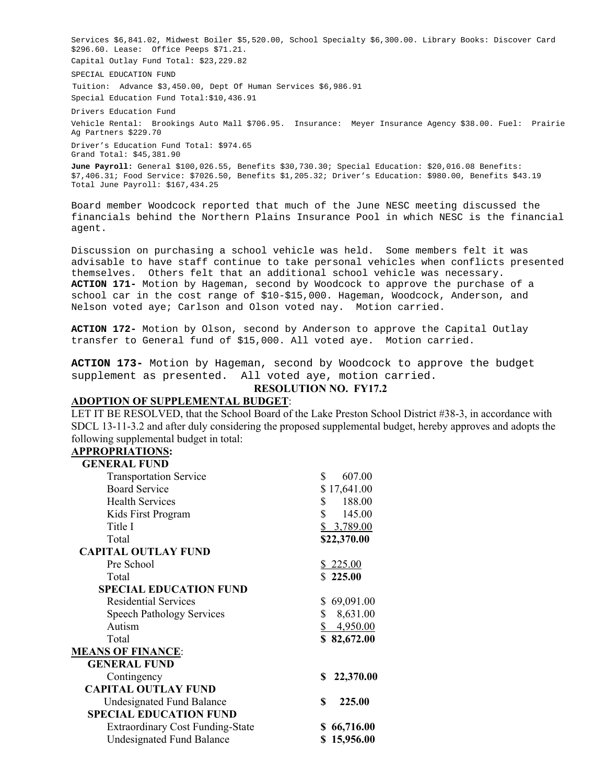Services \$6,841.02, Midwest Boiler \$5,520.00, School Specialty \$6,300.00. Library Books: Discover Card \$296.60. Lease: Office Peeps \$71.21. Capital Outlay Fund Total: \$23,229.82

SPECIAL EDUCATION FUND

Tuition: Advance \$3,450.00, Dept Of Human Services \$6,986.91

Special Education Fund Total:\$10,436.91

Drivers Education Fund

Vehicle Rental: Brookings Auto Mall \$706.95. Insurance: Meyer Insurance Agency \$38.00. Fuel: Prairie Ag Partners \$229.70

Driver's Education Fund Total: \$974.65 Grand Total: \$45,381.90

**June Payroll:** General \$100,026.55, Benefits \$30,730.30; Special Education: \$20,016.08 Benefits: \$7,406.31; Food Service: \$7026.50, Benefits \$1,205.32; Driver's Education: \$980.00, Benefits \$43.19 Total June Payroll: \$167,434.25

Board member Woodcock reported that much of the June NESC meeting discussed the financials behind the Northern Plains Insurance Pool in which NESC is the financial agent.

Discussion on purchasing a school vehicle was held. Some members felt it was advisable to have staff continue to take personal vehicles when conflicts presented themselves. Others felt that an additional school vehicle was necessary. **ACTION 171-** Motion by Hageman, second by Woodcock to approve the purchase of a school car in the cost range of \$10-\$15,000. Hageman, Woodcock, Anderson, and Nelson voted aye; Carlson and Olson voted nay. Motion carried.

**ACTION 172-** Motion by Olson, second by Anderson to approve the Capital Outlay transfer to General fund of \$15,000. All voted aye. Motion carried.

**ACTION 173-** Motion by Hageman, second by Woodcock to approve the budget supplement as presented. All voted aye, motion carried.

## **RESOLUTION NO. FY17.2**

# **ADOPTION OF SUPPLEMENTAL BUDGET**:

LET IT BE RESOLVED, that the School Board of the Lake Preston School District #38-3, in accordance with SDCL 13-11-3.2 and after duly considering the proposed supplemental budget, hereby approves and adopts the following supplemental budget in total:

# **APPROPRIATIONS:**

| <b>GENERAL FUND</b>                     |                                   |                        |
|-----------------------------------------|-----------------------------------|------------------------|
| <b>Transportation Service</b>           | \$                                | 607.00                 |
| <b>Board Service</b>                    |                                   | \$17,641.00            |
| <b>Health Services</b>                  |                                   | $\mathbb{S}$<br>188.00 |
| Kids First Program                      |                                   | $\mathbb{S}$<br>145.00 |
| Title I                                 |                                   | \$3,789.00             |
| Total                                   |                                   | \$22,370.00            |
| <b>CAPITAL OUTLAY FUND</b>              |                                   |                        |
| Pre School                              |                                   | \$225.00               |
| Total                                   |                                   | \$225.00               |
| <b>SPECIAL EDUCATION FUND</b>           |                                   |                        |
| <b>Residential Services</b>             | S.                                | 69,091.00              |
| <b>Speech Pathology Services</b>        | \$                                | 8,631.00               |
| Autism                                  | $\frac{\mathcal{S}}{\mathcal{S}}$ | 4,950.00               |
| Total                                   |                                   | \$82,672.00            |
| <b>MEANS OF FINANCE:</b>                |                                   |                        |
| <b>GENERAL FUND</b>                     |                                   |                        |
| Contingency                             | \$                                | 22,370.00              |
| <b>CAPITAL OUTLAY FUND</b>              |                                   |                        |
| <b>Undesignated Fund Balance</b>        | \$                                | 225.00                 |
| <b>SPECIAL EDUCATION FUND</b>           |                                   |                        |
| <b>Extraordinary Cost Funding-State</b> | SS.                               | 66,716.00              |
| <b>Undesignated Fund Balance</b>        |                                   | \$15,956.00            |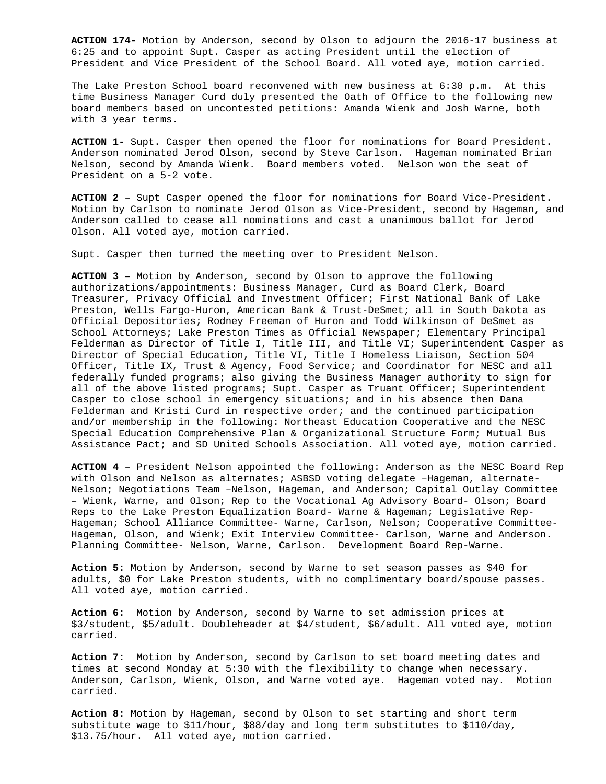**ACTION 174-** Motion by Anderson, second by Olson to adjourn the 2016-17 business at 6:25 and to appoint Supt. Casper as acting President until the election of President and Vice President of the School Board. All voted aye, motion carried.

The Lake Preston School board reconvened with new business at 6:30 p.m. At this time Business Manager Curd duly presented the Oath of Office to the following new board members based on uncontested petitions: Amanda Wienk and Josh Warne, both with 3 year terms.

**ACTION 1-** Supt. Casper then opened the floor for nominations for Board President. Anderson nominated Jerod Olson, second by Steve Carlson. Hageman nominated Brian Nelson, second by Amanda Wienk. Board members voted. Nelson won the seat of President on a 5-2 vote.

**ACTION 2** – Supt Casper opened the floor for nominations for Board Vice-President. Motion by Carlson to nominate Jerod Olson as Vice-President, second by Hageman, and Anderson called to cease all nominations and cast a unanimous ballot for Jerod Olson. All voted aye, motion carried.

Supt. Casper then turned the meeting over to President Nelson.

**ACTION 3 –** Motion by Anderson, second by Olson to approve the following authorizations/appointments: Business Manager, Curd as Board Clerk, Board Treasurer, Privacy Official and Investment Officer; First National Bank of Lake Preston, Wells Fargo-Huron, American Bank & Trust-DeSmet; all in South Dakota as Official Depositories; Rodney Freeman of Huron and Todd Wilkinson of DeSmet as School Attorneys; Lake Preston Times as Official Newspaper; Elementary Principal Felderman as Director of Title I, Title III, and Title VI; Superintendent Casper as Director of Special Education, Title VI, Title I Homeless Liaison, Section 504 Officer, Title IX, Trust & Agency, Food Service; and Coordinator for NESC and all federally funded programs; also giving the Business Manager authority to sign for all of the above listed programs; Supt. Casper as Truant Officer; Superintendent Casper to close school in emergency situations; and in his absence then Dana Felderman and Kristi Curd in respective order; and the continued participation and/or membership in the following: Northeast Education Cooperative and the NESC Special Education Comprehensive Plan & Organizational Structure Form; Mutual Bus Assistance Pact; and SD United Schools Association. All voted aye, motion carried.

**ACTION 4** – President Nelson appointed the following: Anderson as the NESC Board Rep with Olson and Nelson as alternates; ASBSD voting delegate –Hageman, alternate-Nelson; Negotiations Team –Nelson, Hageman, and Anderson; Capital Outlay Committee – Wienk, Warne, and Olson; Rep to the Vocational Ag Advisory Board- Olson; Board Reps to the Lake Preston Equalization Board- Warne & Hageman; Legislative Rep-Hageman; School Alliance Committee- Warne, Carlson, Nelson; Cooperative Committee-Hageman, Olson, and Wienk; Exit Interview Committee- Carlson, Warne and Anderson. Planning Committee- Nelson, Warne, Carlson. Development Board Rep-Warne.

**Action 5:** Motion by Anderson, second by Warne to set season passes as \$40 for adults, \$0 for Lake Preston students, with no complimentary board/spouse passes. All voted aye, motion carried.

**Action 6:** Motion by Anderson, second by Warne to set admission prices at \$3/student, \$5/adult. Doubleheader at \$4/student, \$6/adult. All voted aye, motion carried.

**Action 7:** Motion by Anderson, second by Carlson to set board meeting dates and times at second Monday at 5:30 with the flexibility to change when necessary. Anderson, Carlson, Wienk, Olson, and Warne voted aye. Hageman voted nay. Motion carried.

**Action 8:** Motion by Hageman, second by Olson to set starting and short term substitute wage to \$11/hour, \$88/day and long term substitutes to \$110/day, \$13.75/hour. All voted aye, motion carried.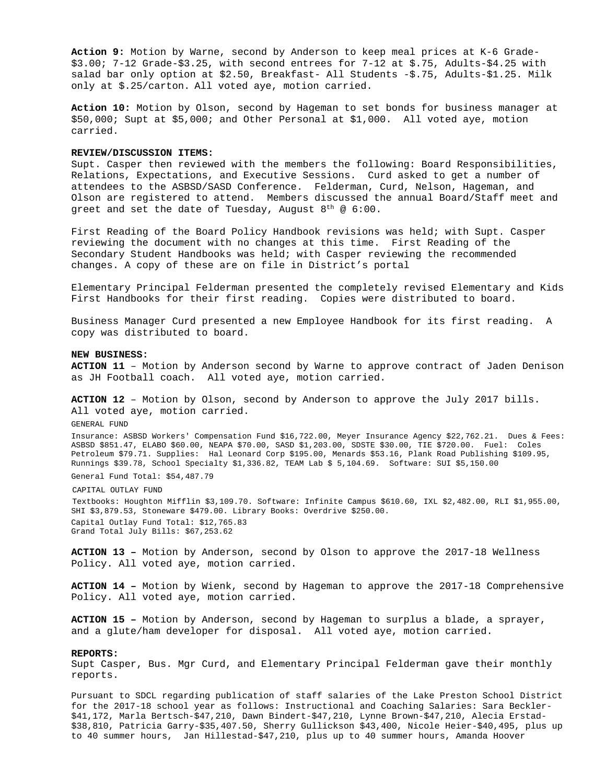**Action 9:** Motion by Warne, second by Anderson to keep meal prices at K-6 Grade- \$3.00; 7-12 Grade-\$3.25, with second entrees for 7-12 at \$.75, Adults-\$4.25 with salad bar only option at \$2.50, Breakfast- All Students -\$.75, Adults-\$1.25. Milk only at \$.25/carton. All voted aye, motion carried.

**Action 10:** Motion by Olson, second by Hageman to set bonds for business manager at \$50,000; Supt at \$5,000; and Other Personal at \$1,000. All voted aye, motion carried.

## **REVIEW/DISCUSSION ITEMS:**

Supt. Casper then reviewed with the members the following: Board Responsibilities, Relations, Expectations, and Executive Sessions. Curd asked to get a number of attendees to the ASBSD/SASD Conference. Felderman, Curd, Nelson, Hageman, and Olson are registered to attend. Members discussed the annual Board/Staff meet and greet and set the date of Tuesday, August  $8^{\text{th}}$  @ 6:00.

First Reading of the Board Policy Handbook revisions was held; with Supt. Casper reviewing the document with no changes at this time. First Reading of the Secondary Student Handbooks was held; with Casper reviewing the recommended changes. A copy of these are on file in District's portal

Elementary Principal Felderman presented the completely revised Elementary and Kids First Handbooks for their first reading. Copies were distributed to board.

Business Manager Curd presented a new Employee Handbook for its first reading. A copy was distributed to board.

**NEW BUSINESS:** 

**ACTION 11** – Motion by Anderson second by Warne to approve contract of Jaden Denison as JH Football coach. All voted aye, motion carried.

**ACTION 12** – Motion by Olson, second by Anderson to approve the July 2017 bills. All voted aye, motion carried.

GENERAL FUND

Insurance: ASBSD Workers' Compensation Fund \$16,722.00, Meyer Insurance Agency \$22,762.21. Dues & Fees: ASBSD \$851.47, ELABO \$60.00, NEAPA \$70.00, SASD \$1,203.00, SDSTE \$30.00, TIE \$720.00. Fuel: Coles Petroleum \$79.71. Supplies: Hal Leonard Corp \$195.00, Menards \$53.16, Plank Road Publishing \$109.95, Runnings \$39.78, School Specialty \$1,336.82, TEAM Lab \$ 5,104.69. Software: SUI \$5,150.00

General Fund Total: \$54,487.79

CAPITAL OUTLAY FUND

Textbooks: Houghton Mifflin \$3,109.70. Software: Infinite Campus \$610.60, IXL \$2,482.00, RLI \$1,955.00, SHI \$3,879.53, Stoneware \$479.00. Library Books: Overdrive \$250.00. Capital Outlay Fund Total: \$12,765.83 Grand Total July Bills: \$67,253.62

**ACTION 13 –** Motion by Anderson, second by Olson to approve the 2017-18 Wellness Policy. All voted aye, motion carried.

**ACTION 14 –** Motion by Wienk, second by Hageman to approve the 2017-18 Comprehensive Policy. All voted aye, motion carried.

**ACTION 15 –** Motion by Anderson, second by Hageman to surplus a blade, a sprayer, and a glute/ham developer for disposal. All voted aye, motion carried.

#### **REPORTS:**

Supt Casper, Bus. Mgr Curd, and Elementary Principal Felderman gave their monthly reports.

Pursuant to SDCL regarding publication of staff salaries of the Lake Preston School District for the 2017-18 school year as follows: Instructional and Coaching Salaries: Sara Beckler- \$41,172, Marla Bertsch-\$47,210, Dawn Bindert-\$47,210, Lynne Brown-\$47,210, Alecia Erstad- \$38,810, Patricia Garry-\$35,407.50, Sherry Gullickson \$43,400, Nicole Heier-\$40,495, plus up to 40 summer hours, Jan Hillestad-\$47,210, plus up to 40 summer hours, Amanda Hoover